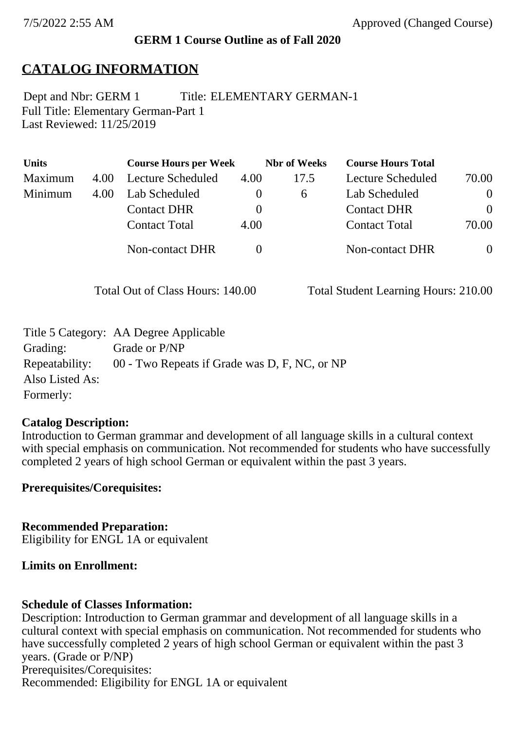#### **GERM 1 Course Outline as of Fall 2020**

## **CATALOG INFORMATION**

Full Title: Elementary German-Part 1 Last Reviewed: 11/25/2019 Dept and Nbr: GERM 1 Title: ELEMENTARY GERMAN-1

| <b>Units</b> |      | <b>Course Hours per Week</b> |          | <b>Nbr</b> of Weeks | <b>Course Hours Total</b> |                |
|--------------|------|------------------------------|----------|---------------------|---------------------------|----------------|
| Maximum      | 4.00 | <b>Lecture Scheduled</b>     | 4.00     | 17.5                | Lecture Scheduled         | 70.00          |
| Minimum      | 4.00 | Lab Scheduled                | $\bf{0}$ | $\sigma$            | Lab Scheduled             | $\overline{0}$ |
|              |      | <b>Contact DHR</b>           | $\theta$ |                     | <b>Contact DHR</b>        | $\Omega$       |
|              |      | <b>Contact Total</b>         | 4.00     |                     | <b>Contact Total</b>      | 70.00          |
|              |      | Non-contact DHR              |          |                     | <b>Non-contact DHR</b>    | $\overline{0}$ |

Total Out of Class Hours: 140.00 Total Student Learning Hours: 210.00

|                 | Title 5 Category: AA Degree Applicable        |
|-----------------|-----------------------------------------------|
| Grading:        | Grade or P/NP                                 |
| Repeatability:  | 00 - Two Repeats if Grade was D, F, NC, or NP |
| Also Listed As: |                                               |
| Formerly:       |                                               |

#### **Catalog Description:**

Introduction to German grammar and development of all language skills in a cultural context with special emphasis on communication. Not recommended for students who have successfully completed 2 years of high school German or equivalent within the past 3 years.

**Prerequisites/Corequisites:**

**Recommended Preparation:** Eligibility for ENGL 1A or equivalent

### **Limits on Enrollment:**

### **Schedule of Classes Information:**

Description: Introduction to German grammar and development of all language skills in a cultural context with special emphasis on communication. Not recommended for students who have successfully completed 2 years of high school German or equivalent within the past 3 years. (Grade or P/NP) Prerequisites/Corequisites: Recommended: Eligibility for ENGL 1A or equivalent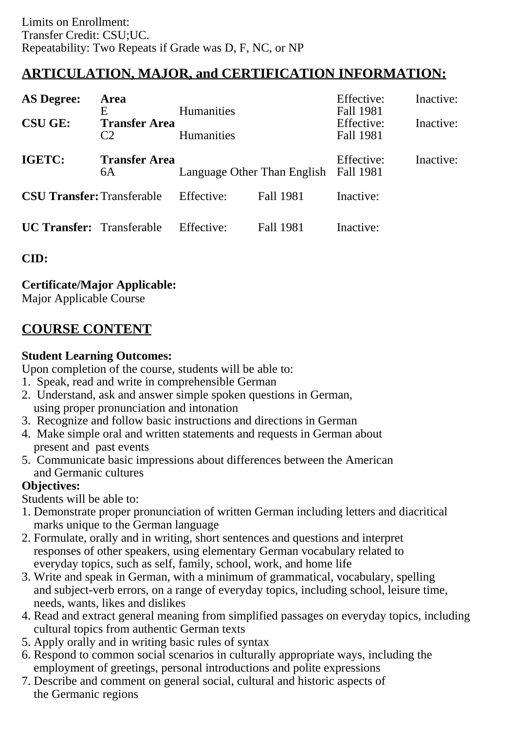# **ARTICULATION, MAJOR, and CERTIFICATION INFORMATION:**

| <b>AS Degree:</b>                 | <b>Area</b><br>E                       | <b>Humanities</b>           |                  | Effective:<br>Fall 1981 | Inactive: |
|-----------------------------------|----------------------------------------|-----------------------------|------------------|-------------------------|-----------|
| <b>CSU GE:</b>                    | <b>Transfer Area</b><br>C <sub>2</sub> | <b>Humanities</b>           |                  | Effective:<br>Fall 1981 | Inactive: |
| IGETC:                            | <b>Transfer Area</b><br>6A             | Language Other Than English |                  | Effective:<br>Fall 1981 | Inactive: |
| <b>CSU Transfer: Transferable</b> |                                        | Effective:                  | <b>Fall 1981</b> | Inactive:               |           |
| <b>UC Transfer:</b> Transferable  |                                        | Effective:                  | Fall 1981        | Inactive:               |           |

**CID:**

## **Certificate/Major Applicable:**

[Major Applicable Course](SR_ClassCheck.aspx?CourseKey=GERM1)

# **COURSE CONTENT**

### **Student Learning Outcomes:**

Upon completion of the course, students will be able to:

- 1. Speak, read and write in comprehensible German
- 2. Understand, ask and answer simple spoken questions in German, using proper pronunciation and intonation
- 3. Recognize and follow basic instructions and directions in German
- 4. Make simple oral and written statements and requests in German about present and past events
- 5. Communicate basic impressions about differences between the American and Germanic cultures

## **Objectives:**

Students will be able to:

- 1. Demonstrate proper pronunciation of written German including letters and diacritical marks unique to the German language
- 2. Formulate, orally and in writing, short sentences and questions and interpret responses of other speakers, using elementary German vocabulary related to everyday topics, such as self, family, school, work, and home life
- 3. Write and speak in German, with a minimum of grammatical, vocabulary, spelling and subject-verb errors, on a range of everyday topics, including school, leisure time, needs, wants, likes and dislikes
- 4. Read and extract general meaning from simplified passages on everyday topics, including cultural topics from authentic German texts
- 5. Apply orally and in writing basic rules of syntax
- 6. Respond to common social scenarios in culturally appropriate ways, including the employment of greetings, personal introductions and polite expressions
- 7. Describe and comment on general social, cultural and historic aspects of the Germanic regions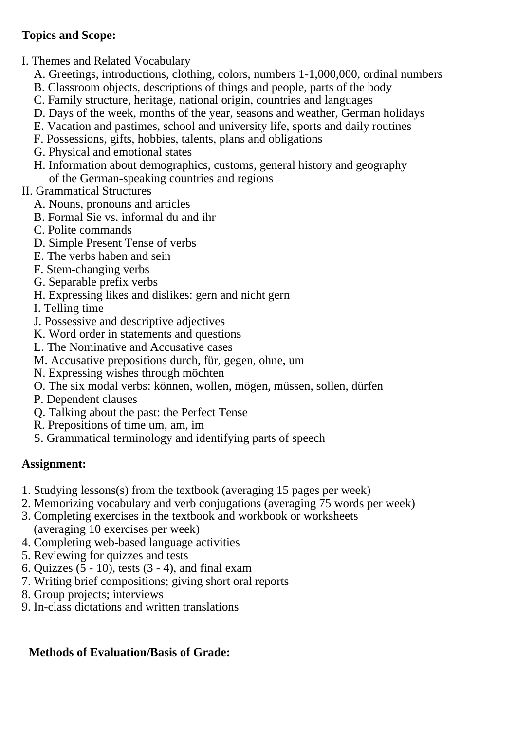## **Topics and Scope:**

- I. Themes and Related Vocabulary
	- A. Greetings, introductions, clothing, colors, numbers 1-1,000,000, ordinal numbers
	- B. Classroom objects, descriptions of things and people, parts of the body
	- C. Family structure, heritage, national origin, countries and languages
	- D. Days of the week, months of the year, seasons and weather, German holidays
	- E. Vacation and pastimes, school and university life, sports and daily routines
	- F. Possessions, gifts, hobbies, talents, plans and obligations
	- G. Physical and emotional states
	- H. Information about demographics, customs, general history and geography of the German-speaking countries and regions

## II. Grammatical Structures

- A. Nouns, pronouns and articles
- B. Formal Sie vs. informal du and ihr
- C. Polite commands
- D. Simple Present Tense of verbs
- E. The verbs haben and sein
- F. Stem-changing verbs
- G. Separable prefix verbs
- H. Expressing likes and dislikes: gern and nicht gern
- I. Telling time
- J. Possessive and descriptive adjectives
- K. Word order in statements and questions
- L. The Nominative and Accusative cases
- M. Accusative prepositions durch, für, gegen, ohne, um
- N. Expressing wishes through möchten
- O. The six modal verbs: können, wollen, mögen, müssen, sollen, dürfen
- P. Dependent clauses
- Q. Talking about the past: the Perfect Tense
- R. Prepositions of time um, am, im
- S. Grammatical terminology and identifying parts of speech

# **Assignment:**

- 1. Studying lessons(s) from the textbook (averaging 15 pages per week)
- 2. Memorizing vocabulary and verb conjugations (averaging 75 words per week)
- 3. Completing exercises in the textbook and workbook or worksheets (averaging 10 exercises per week)
- 4. Completing web-based language activities
- 5. Reviewing for quizzes and tests
- 6. Quizzes  $(5 10)$ , tests  $(3 4)$ , and final exam
- 7. Writing brief compositions; giving short oral reports
- 8. Group projects; interviews
- 9. In-class dictations and written translations

# **Methods of Evaluation/Basis of Grade:**